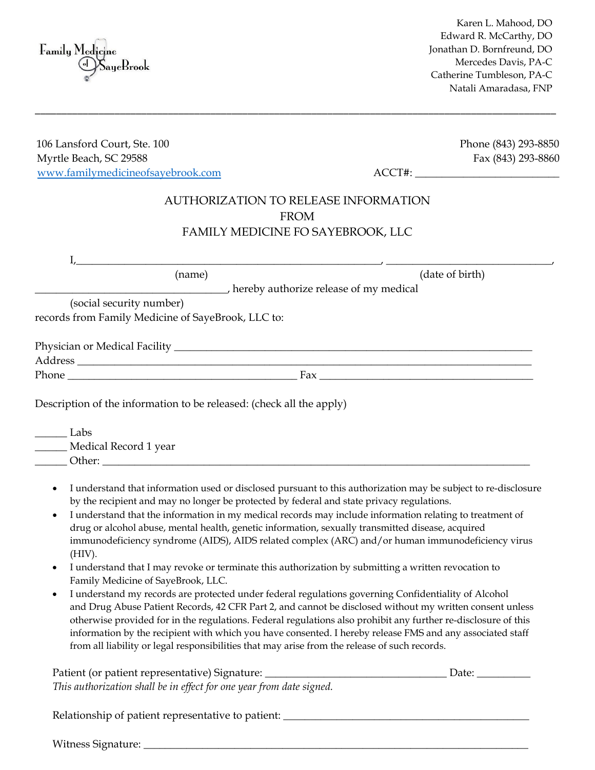\_\_\_\_\_\_\_\_\_\_\_\_\_\_\_\_\_\_\_\_\_\_\_\_\_\_\_\_\_\_\_\_\_\_\_\_\_\_\_\_\_\_\_\_\_\_\_\_\_\_\_\_\_\_\_\_\_\_\_\_\_\_\_\_\_\_\_\_\_\_\_\_\_\_\_\_\_\_\_\_\_\_\_\_\_\_\_\_\_\_\_\_\_\_\_\_\_\_ 106 Lansford Court, Ste. 100 Phone (843) 293-8850 Myrtle Beach, SC 29588 Fax (843) 293-8860 www.familymedicineofsayebrook.com ACCT#: \_\_\_\_\_\_\_\_\_\_\_\_\_\_\_\_\_\_\_\_\_\_\_\_\_\_\_ AUTHORIZATION TO RELEASE INFORMATION

FROM FAMILY MEDICINE FO SAYEBROOK, LLC

| (name)                                             | (date of birth)                          |
|----------------------------------------------------|------------------------------------------|
|                                                    | b hereby authorize release of my medical |
| (social security number)                           |                                          |
| records from Family Medicine of SayeBrook, LLC to: |                                          |
|                                                    |                                          |
|                                                    |                                          |
|                                                    |                                          |
|                                                    | Fax                                      |

 $\_\_\_$  Labs \_\_\_\_\_\_ Medical Record 1 year Other:

- I understand that information used or disclosed pursuant to this authorization may be subject to re-disclosure by the recipient and may no longer be protected by federal and state privacy regulations.
- I understand that the information in my medical records may include information relating to treatment of drug or alcohol abuse, mental health, genetic information, sexually transmitted disease, acquired immunodeficiency syndrome (AIDS), AIDS related complex (ARC) and/or human immunodeficiency virus (HIV).
- I understand that I may revoke or terminate this authorization by submitting a written revocation to Family Medicine of SayeBrook, LLC.
- I understand my records are protected under federal regulations governing Confidentiality of Alcohol and Drug Abuse Patient Records, 42 CFR Part 2, and cannot be disclosed without my written consent unless otherwise provided for in the regulations. Federal regulations also prohibit any further re-disclosure of this information by the recipient with which you have consented. I hereby release FMS and any associated staff from all liability or legal responsibilities that may arise from the release of such records.

| Patient (or patient representative) Signature:                       | Date: |
|----------------------------------------------------------------------|-------|
| This authorization shall be in effect for one year from date signed. |       |

Relationship of patient representative to patient: \_\_\_\_\_\_\_\_\_\_\_\_\_\_\_\_\_\_\_\_\_\_\_\_\_\_\_\_\_\_

Witness Signature: \_\_\_\_\_\_\_\_\_\_\_\_\_\_\_\_\_\_\_\_\_\_\_\_\_\_\_\_\_\_\_\_\_\_\_\_\_\_\_\_\_\_\_\_\_\_\_\_\_\_\_\_\_\_\_\_\_\_\_\_\_\_\_\_\_\_\_\_\_\_\_\_

Karen L. Mahood, DO Edward R. McCarthy, DO Jonathan D. Bornfreund, DO Mercedes Davis, PA-C Catherine Tumbleson, PA-C Natali Amaradasa, FNP